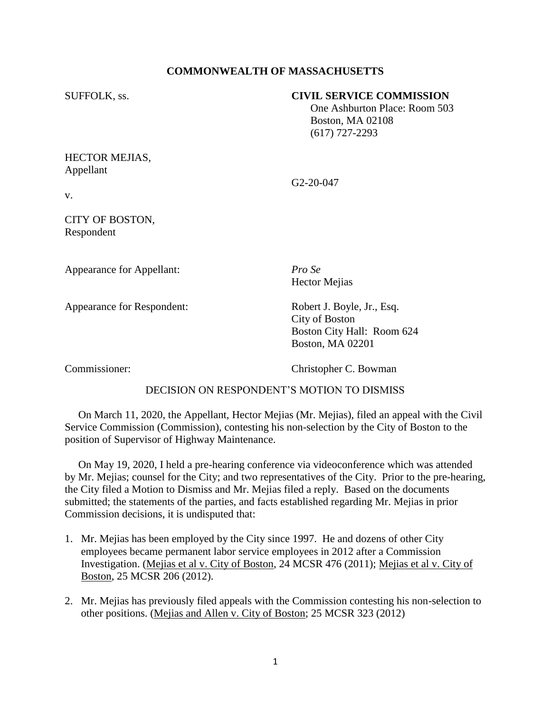# **COMMONWEALTH OF MASSACHUSETTS**

## SUFFOLK, ss. **CIVIL SERVICE COMMISSION**

 One Ashburton Place: Room 503 Boston, MA 02108 (617) 727-2293

## HECTOR MEJIAS, Appellant

G2-20-047

v.

# CITY OF BOSTON, Respondent

Appearance for Appellant: *Pro Se*

Hector Mejias

Appearance for Respondent: Robert J. Boyle, Jr., Esq.

City of Boston Boston City Hall: Room 624 Boston, MA 02201

Commissioner: Christopher C. Bowman

# DECISION ON RESPONDENT'S MOTION TO DISMISS

 On March 11, 2020, the Appellant, Hector Mejias (Mr. Mejias), filed an appeal with the Civil Service Commission (Commission), contesting his non-selection by the City of Boston to the position of Supervisor of Highway Maintenance.

 On May 19, 2020, I held a pre-hearing conference via videoconference which was attended by Mr. Mejias; counsel for the City; and two representatives of the City. Prior to the pre-hearing, the City filed a Motion to Dismiss and Mr. Mejias filed a reply. Based on the documents submitted; the statements of the parties, and facts established regarding Mr. Mejias in prior Commission decisions, it is undisputed that:

- 1. Mr. Mejias has been employed by the City since 1997. He and dozens of other City employees became permanent labor service employees in 2012 after a Commission Investigation. (Mejias et al v. City of Boston, 24 MCSR 476 (2011); Mejias et al v. City of Boston, 25 MCSR 206 (2012).
- 2. Mr. Mejias has previously filed appeals with the Commission contesting his non-selection to other positions. (Mejias and Allen v. City of Boston; 25 MCSR 323 (2012)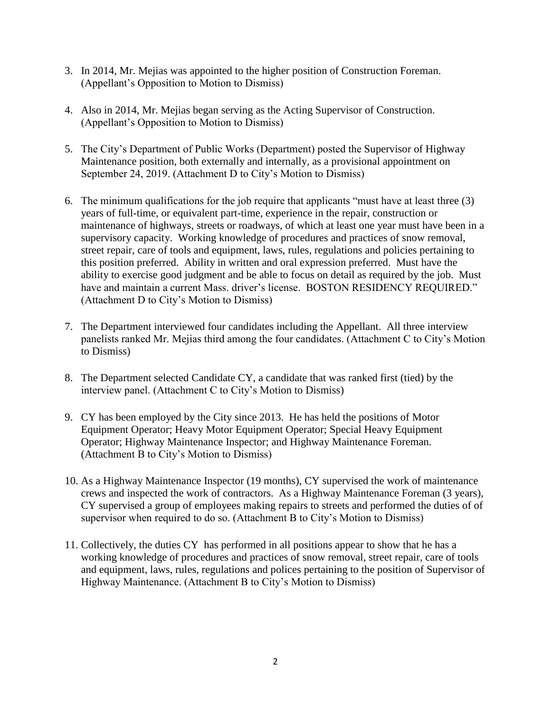- 3. In 2014, Mr. Mejias was appointed to the higher position of Construction Foreman. (Appellant's Opposition to Motion to Dismiss)
- 4. Also in 2014, Mr. Mejias began serving as the Acting Supervisor of Construction. (Appellant's Opposition to Motion to Dismiss)
- 5. The City's Department of Public Works (Department) posted the Supervisor of Highway Maintenance position, both externally and internally, as a provisional appointment on September 24, 2019. (Attachment D to City's Motion to Dismiss)
- 6. The minimum qualifications for the job require that applicants "must have at least three (3) years of full-time, or equivalent part-time, experience in the repair, construction or maintenance of highways, streets or roadways, of which at least one year must have been in a supervisory capacity. Working knowledge of procedures and practices of snow removal, street repair, care of tools and equipment, laws, rules, regulations and policies pertaining to this position preferred. Ability in written and oral expression preferred. Must have the ability to exercise good judgment and be able to focus on detail as required by the job. Must have and maintain a current Mass. driver's license. BOSTON RESIDENCY REQUIRED." (Attachment D to City's Motion to Dismiss)
- 7. The Department interviewed four candidates including the Appellant. All three interview panelists ranked Mr. Mejias third among the four candidates. (Attachment C to City's Motion to Dismiss)
- 8. The Department selected Candidate CY, a candidate that was ranked first (tied) by the interview panel. (Attachment C to City's Motion to Dismiss)
- 9. CY has been employed by the City since 2013. He has held the positions of Motor Equipment Operator; Heavy Motor Equipment Operator; Special Heavy Equipment Operator; Highway Maintenance Inspector; and Highway Maintenance Foreman. (Attachment B to City's Motion to Dismiss)
- 10. As a Highway Maintenance Inspector (19 months), CY supervised the work of maintenance crews and inspected the work of contractors. As a Highway Maintenance Foreman (3 years), CY supervised a group of employees making repairs to streets and performed the duties of of supervisor when required to do so. (Attachment B to City's Motion to Dismiss)
- 11. Collectively, the duties CY has performed in all positions appear to show that he has a working knowledge of procedures and practices of snow removal, street repair, care of tools and equipment, laws, rules, regulations and polices pertaining to the position of Supervisor of Highway Maintenance. (Attachment B to City's Motion to Dismiss)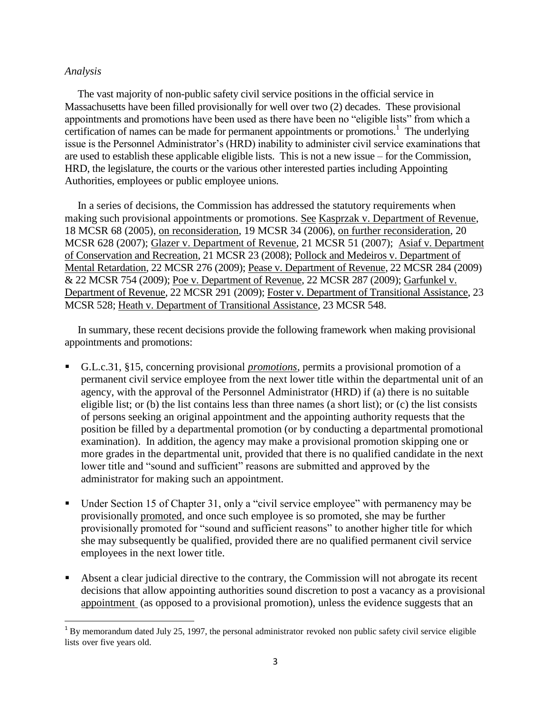## *Analysis*

l

 The vast majority of non-public safety civil service positions in the official service in Massachusetts have been filled provisionally for well over two (2) decades. These provisional appointments and promotions have been used as there have been no "eligible lists" from which a certification of names can be made for permanent appointments or promotions.<sup>1</sup> The underlying issue is the Personnel Administrator's (HRD) inability to administer civil service examinations that are used to establish these applicable eligible lists. This is not a new issue – for the Commission, HRD, the legislature, the courts or the various other interested parties including Appointing Authorities, employees or public employee unions.

 In a series of decisions, the Commission has addressed the statutory requirements when making such provisional appointments or promotions. See Kasprzak v. Department of Revenue, 18 MCSR 68 (2005), on reconsideration, 19 MCSR 34 (2006), on further reconsideration, 20 MCSR 628 (2007); Glazer v. Department of Revenue, 21 MCSR 51 (2007); Asiaf v. Department of Conservation and Recreation, 21 MCSR 23 (2008); Pollock and Medeiros v. Department of Mental Retardation, 22 MCSR 276 (2009); Pease v. Department of Revenue, 22 MCSR 284 (2009) & 22 MCSR 754 (2009); Poe v. Department of Revenue, 22 MCSR 287 (2009); Garfunkel v. Department of Revenue, 22 MCSR 291 (2009); Foster v. Department of Transitional Assistance, 23 MCSR 528; Heath v. Department of Transitional Assistance, 23 MCSR 548.

 In summary, these recent decisions provide the following framework when making provisional appointments and promotions:

- G.L.c.31, §15, concerning provisional *promotions*, permits a provisional promotion of a permanent civil service employee from the next lower title within the departmental unit of an agency, with the approval of the Personnel Administrator (HRD) if (a) there is no suitable eligible list; or (b) the list contains less than three names (a short list); or (c) the list consists of persons seeking an original appointment and the appointing authority requests that the position be filled by a departmental promotion (or by conducting a departmental promotional examination). In addition, the agency may make a provisional promotion skipping one or more grades in the departmental unit, provided that there is no qualified candidate in the next lower title and "sound and sufficient" reasons are submitted and approved by the administrator for making such an appointment.
- Under Section 15 of Chapter 31, only a "civil service employee" with permanency may be provisionally promoted, and once such employee is so promoted, she may be further provisionally promoted for "sound and sufficient reasons" to another higher title for which she may subsequently be qualified, provided there are no qualified permanent civil service employees in the next lower title.
- Absent a clear judicial directive to the contrary, the Commission will not abrogate its recent decisions that allow appointing authorities sound discretion to post a vacancy as a provisional appointment (as opposed to a provisional promotion), unless the evidence suggests that an

 $1<sup>1</sup>$  By memo[r](http://sll.gvpi.net/document.php?id=csc:0007172-0000000&type=hitlist&num=0#hit5)andum dat[e](http://sll.gvpi.net/document.php?id=csc:0007172-0000000&type=hitlist&num=0#hit6)d July 25, 1997, the personal administrator revoked non public safety civil service eligible list[s](http://sll.gvpi.net/document.php?id=csc:0007172-0000000&type=hitlist&num=0#hit9) over five years old.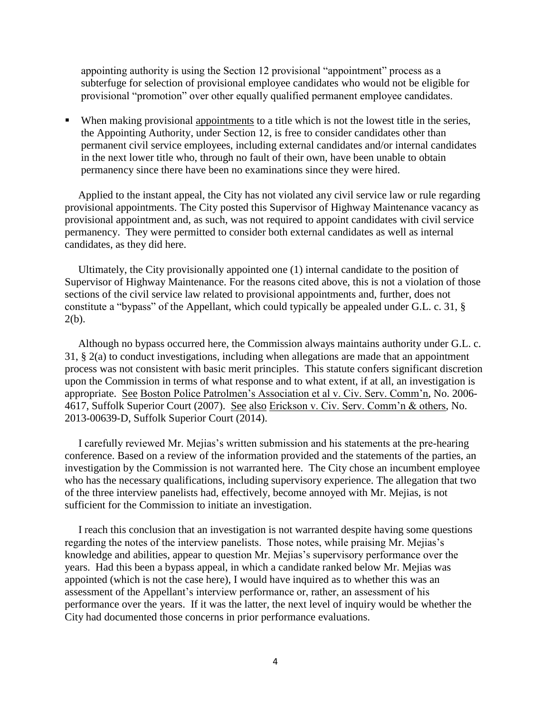appointing authority is using the Section 12 provisional "appointment" process as a subterfuge for selection of provisional employee candidates who would not be eligible for provisional "promotion" over other equally qualified permanent employee candidates.

 When making provisional appointments to a title which is not the lowest title in the series, the Appointing Authority, under Section 12, is free to consider candidates other than permanent civil service employees, including external candidates and/or internal candidates in the next lower title who, through no fault of their own, have been unable to obtain permanency since there have been no examinations since they were hired.

 Applied to the instant appeal, the City has not violated any civil service law or rule regarding provisional appointments. The City posted this Supervisor of Highway Maintenance vacancy as provisional appointment and, as such, was not required to appoint candidates with civil service permanency. They were permitted to consider both external candidates as well as internal candidates, as they did here.

 Ultimately, the City provisionally appointed one (1) internal candidate to the position of Supervisor of Highway Maintenance. For the reasons cited above, this is not a violation of those sections of the civil service law related to provisional appointments and, further, does not constitute a "bypass" of the Appellant, which could typically be appealed under G.L. c. 31, § 2(b).

 Although no bypass occurred here, the Commission always maintains authority under G.L. c. 31, § 2(a) to conduct investigations, including when allegations are made that an appointment process was not consistent with basic merit principles. This statute confers significant discretion upon the Commission in terms of what response and to what extent, if at all, an investigation is appropriate. See Boston Police Patrolmen's Association et al v. Civ. Serv. Comm'n, No. 2006- 4617, Suffolk Superior Court (2007). See also Erickson v. Civ. Serv. Comm'n & others, No. 2013-00639-D, Suffolk Superior Court (2014).

 I carefully reviewed Mr. Mejias's written submission and his statements at the pre-hearing conference. Based on a review of the information provided and the statements of the parties, an investigation by the Commission is not warranted here. The City chose an incumbent employee who has the necessary qualifications, including supervisory experience. The allegation that two of the three interview panelists had, effectively, become annoyed with Mr. Mejias, is not sufficient for the Commission to initiate an investigation.

 I reach this conclusion that an investigation is not warranted despite having some questions regarding the notes of the interview panelists. Those notes, while praising Mr. Mejias's knowledge and abilities, appear to question Mr. Mejias's supervisory performance over the years. Had this been a bypass appeal, in which a candidate ranked below Mr. Mejias was appointed (which is not the case here), I would have inquired as to whether this was an assessment of the Appellant's interview performance or, rather, an assessment of his performance over the years. If it was the latter, the next level of inquiry would be whether the City had documented those concerns in prior performance evaluations.